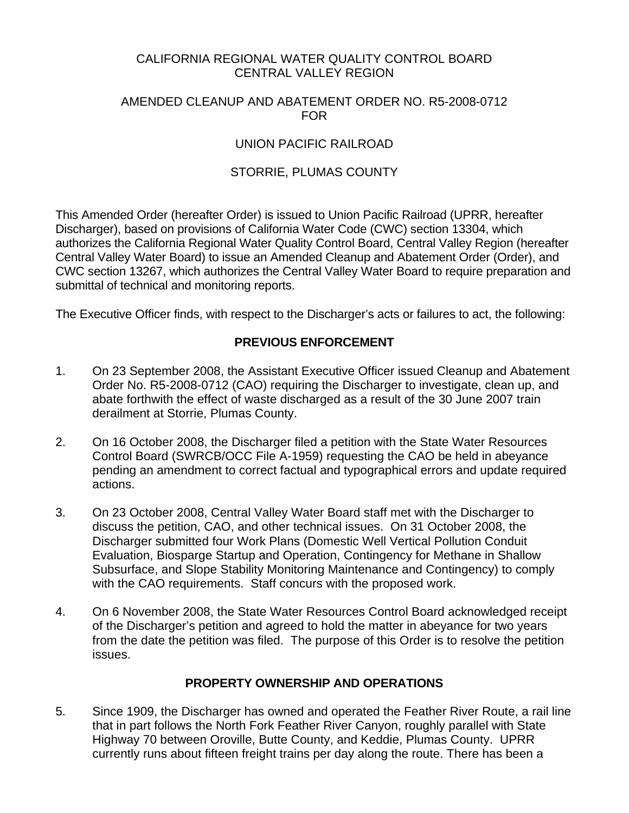#### CALIFORNIA REGIONAL WATER QUALITY CONTROL BOARD CENTRAL VALLEY REGION

#### AMENDED CLEANUP AND ABATEMENT ORDER NO. R5-2008-0712 FOR

#### UNION PACIFIC RAILROAD

## STORRIE, PLUMAS COUNTY

This Amended Order (hereafter Order) is issued to Union Pacific Railroad (UPRR, hereafter Discharger), based on provisions of California Water Code (CWC) section 13304, which authorizes the California Regional Water Quality Control Board, Central Valley Region (hereafter Central Valley Water Board) to issue an Amended Cleanup and Abatement Order (Order), and CWC section 13267, which authorizes the Central Valley Water Board to require preparation and submittal of technical and monitoring reports.

The Executive Officer finds, with respect to the Discharger's acts or failures to act, the following:

#### **PREVIOUS ENFORCEMENT**

- 1. On 23 September 2008, the Assistant Executive Officer issued Cleanup and Abatement Order No. R5-2008-0712 (CAO) requiring the Discharger to investigate, clean up, and abate forthwith the effect of waste discharged as a result of the 30 June 2007 train derailment at Storrie, Plumas County.
- 2. On 16 October 2008, the Discharger filed a petition with the State Water Resources Control Board (SWRCB/OCC File A-1959) requesting the CAO be held in abeyance pending an amendment to correct factual and typographical errors and update required actions.
- 3. On 23 October 2008, Central Valley Water Board staff met with the Discharger to discuss the petition, CAO, and other technical issues. On 31 October 2008, the Discharger submitted four Work Plans (Domestic Well Vertical Pollution Conduit Evaluation, Biosparge Startup and Operation, Contingency for Methane in Shallow Subsurface, and Slope Stability Monitoring Maintenance and Contingency) to comply with the CAO requirements. Staff concurs with the proposed work.
- 4. On 6 November 2008, the State Water Resources Control Board acknowledged receipt of the Discharger's petition and agreed to hold the matter in abeyance for two years from the date the petition was filed. The purpose of this Order is to resolve the petition issues.

#### **PROPERTY OWNERSHIP AND OPERATIONS**

5. Since 1909, the Discharger has owned and operated the Feather River Route, a rail line that in part follows the North Fork Feather River Canyon, roughly parallel with State Highway 70 between Oroville, Butte County, and Keddie, Plumas County. UPRR currently runs about fifteen freight trains per day along the route. There has been a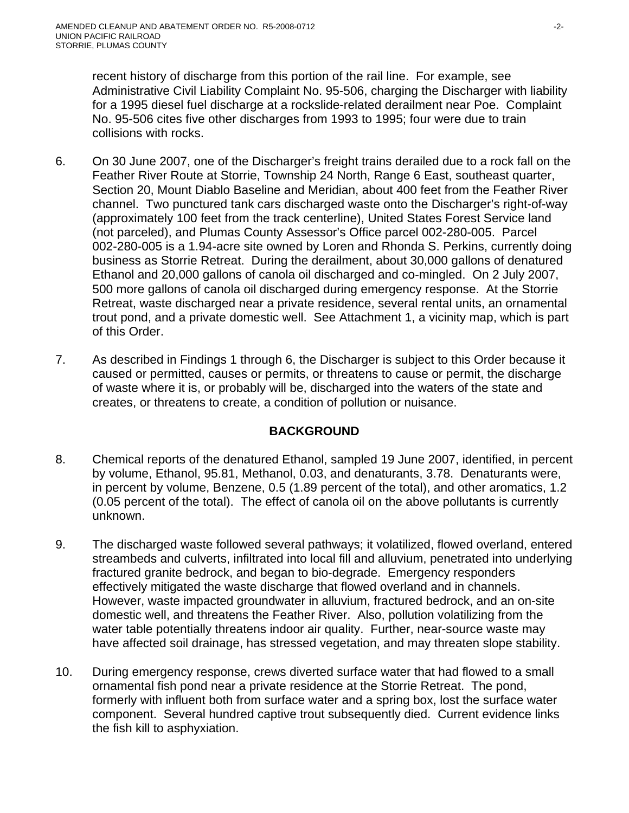recent history of discharge from this portion of the rail line. For example, see Administrative Civil Liability Complaint No. 95-506, charging the Discharger with liability for a 1995 diesel fuel discharge at a rockslide-related derailment near Poe. Complaint No. 95-506 cites five other discharges from 1993 to 1995; four were due to train collisions with rocks.

- 6. On 30 June 2007, one of the Discharger's freight trains derailed due to a rock fall on the Feather River Route at Storrie, Township 24 North, Range 6 East, southeast quarter, Section 20, Mount Diablo Baseline and Meridian, about 400 feet from the Feather River channel. Two punctured tank cars discharged waste onto the Discharger's right-of-way (approximately 100 feet from the track centerline), United States Forest Service land (not parceled), and Plumas County Assessor's Office parcel 002-280-005. Parcel 002-280-005 is a 1.94-acre site owned by Loren and Rhonda S. Perkins, currently doing business as Storrie Retreat. During the derailment, about 30,000 gallons of denatured Ethanol and 20,000 gallons of canola oil discharged and co-mingled. On 2 July 2007, 500 more gallons of canola oil discharged during emergency response. At the Storrie Retreat, waste discharged near a private residence, several rental units, an ornamental trout pond, and a private domestic well. See Attachment 1, a vicinity map, which is part of this Order.
- 7. As described in Findings 1 through 6, the Discharger is subject to this Order because it caused or permitted, causes or permits, or threatens to cause or permit, the discharge of waste where it is, or probably will be, discharged into the waters of the state and creates, or threatens to create, a condition of pollution or nuisance.

## **BACKGROUND**

- 8. Chemical reports of the denatured Ethanol, sampled 19 June 2007, identified, in percent by volume, Ethanol, 95.81, Methanol, 0.03, and denaturants, 3.78. Denaturants were, in percent by volume, Benzene, 0.5 (1.89 percent of the total), and other aromatics, 1.2 (0.05 percent of the total). The effect of canola oil on the above pollutants is currently unknown.
- 9. The discharged waste followed several pathways; it volatilized, flowed overland, entered streambeds and culverts, infiltrated into local fill and alluvium, penetrated into underlying fractured granite bedrock, and began to bio-degrade. Emergency responders effectively mitigated the waste discharge that flowed overland and in channels. However, waste impacted groundwater in alluvium, fractured bedrock, and an on-site domestic well, and threatens the Feather River. Also, pollution volatilizing from the water table potentially threatens indoor air quality. Further, near-source waste may have affected soil drainage, has stressed vegetation, and may threaten slope stability.
- 10. During emergency response, crews diverted surface water that had flowed to a small ornamental fish pond near a private residence at the Storrie Retreat. The pond, formerly with influent both from surface water and a spring box, lost the surface water component. Several hundred captive trout subsequently died. Current evidence links the fish kill to asphyxiation.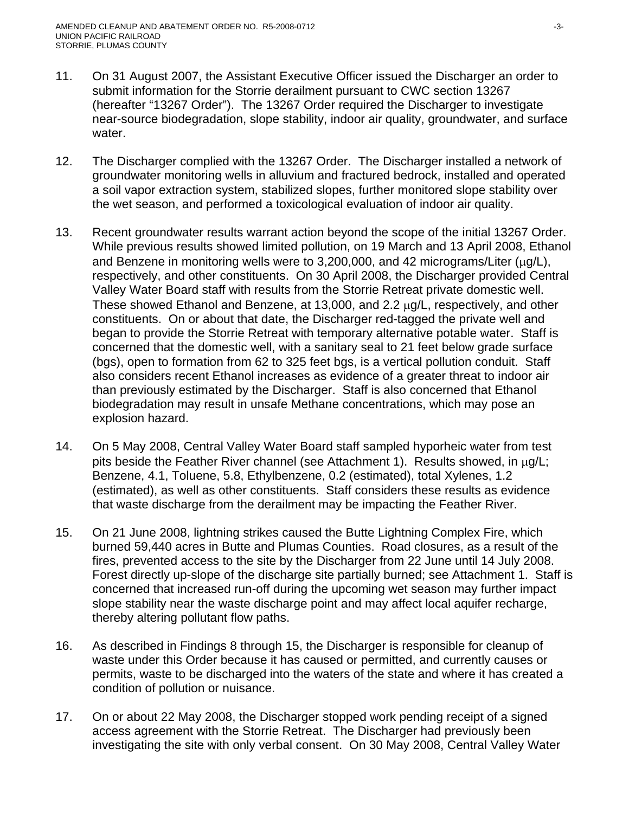- 11. On 31 August 2007, the Assistant Executive Officer issued the Discharger an order to submit information for the Storrie derailment pursuant to CWC section 13267 (hereafter "13267 Order"). The 13267 Order required the Discharger to investigate near-source biodegradation, slope stability, indoor air quality, groundwater, and surface water.
- 12. The Discharger complied with the 13267 Order. The Discharger installed a network of groundwater monitoring wells in alluvium and fractured bedrock, installed and operated a soil vapor extraction system, stabilized slopes, further monitored slope stability over the wet season, and performed a toxicological evaluation of indoor air quality.
- 13. Recent groundwater results warrant action beyond the scope of the initial 13267 Order. While previous results showed limited pollution, on 19 March and 13 April 2008, Ethanol and Benzene in monitoring wells were to 3,200,000, and 42 micrograms/Liter (μg/L), respectively, and other constituents. On 30 April 2008, the Discharger provided Central Valley Water Board staff with results from the Storrie Retreat private domestic well. These showed Ethanol and Benzene, at 13,000, and 2.2 μg/L, respectively, and other constituents. On or about that date, the Discharger red-tagged the private well and began to provide the Storrie Retreat with temporary alternative potable water. Staff is concerned that the domestic well, with a sanitary seal to 21 feet below grade surface (bgs), open to formation from 62 to 325 feet bgs, is a vertical pollution conduit. Staff also considers recent Ethanol increases as evidence of a greater threat to indoor air than previously estimated by the Discharger. Staff is also concerned that Ethanol biodegradation may result in unsafe Methane concentrations, which may pose an explosion hazard.
- 14. On 5 May 2008, Central Valley Water Board staff sampled hyporheic water from test pits beside the Feather River channel (see Attachment 1). Results showed, in μg/L; Benzene, 4.1, Toluene, 5.8, Ethylbenzene, 0.2 (estimated), total Xylenes, 1.2 (estimated), as well as other constituents. Staff considers these results as evidence that waste discharge from the derailment may be impacting the Feather River.
- 15. On 21 June 2008, lightning strikes caused the Butte Lightning Complex Fire, which burned 59,440 acres in Butte and Plumas Counties. Road closures, as a result of the fires, prevented access to the site by the Discharger from 22 June until 14 July 2008. Forest directly up-slope of the discharge site partially burned; see Attachment 1. Staff is concerned that increased run-off during the upcoming wet season may further impact slope stability near the waste discharge point and may affect local aquifer recharge, thereby altering pollutant flow paths.
- 16. As described in Findings 8 through 15, the Discharger is responsible for cleanup of waste under this Order because it has caused or permitted, and currently causes or permits, waste to be discharged into the waters of the state and where it has created a condition of pollution or nuisance.
- 17. On or about 22 May 2008, the Discharger stopped work pending receipt of a signed access agreement with the Storrie Retreat. The Discharger had previously been investigating the site with only verbal consent. On 30 May 2008, Central Valley Water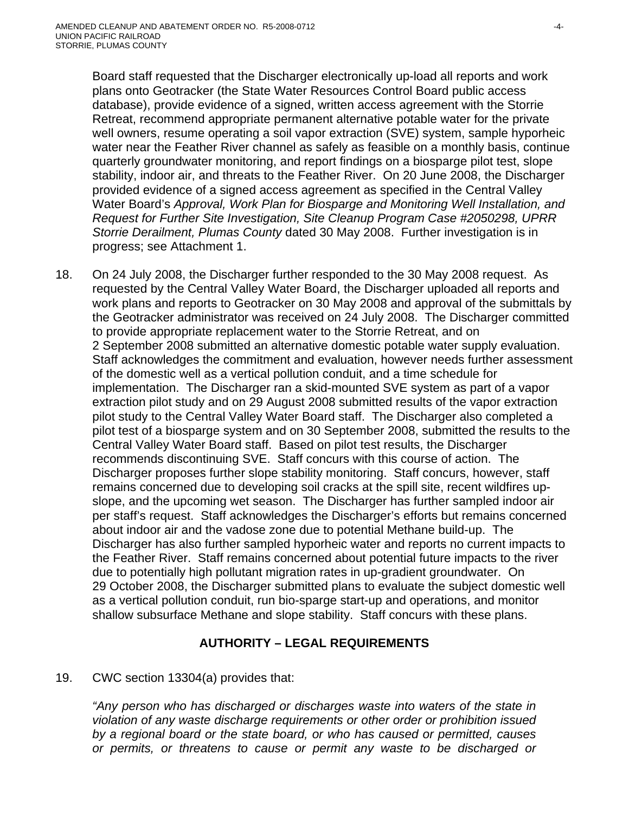Board staff requested that the Discharger electronically up-load all reports and work plans onto Geotracker (the State Water Resources Control Board public access database), provide evidence of a signed, written access agreement with the Storrie Retreat, recommend appropriate permanent alternative potable water for the private well owners, resume operating a soil vapor extraction (SVE) system, sample hyporheic water near the Feather River channel as safely as feasible on a monthly basis, continue quarterly groundwater monitoring, and report findings on a biosparge pilot test, slope stability, indoor air, and threats to the Feather River. On 20 June 2008, the Discharger provided evidence of a signed access agreement as specified in the Central Valley Water Board's *Approval, Work Plan for Biosparge and Monitoring Well Installation, and Request for Further Site Investigation, Site Cleanup Program Case #2050298, UPRR Storrie Derailment, Plumas County* dated 30 May 2008. Further investigation is in progress; see Attachment 1.

18. On 24 July 2008, the Discharger further responded to the 30 May 2008 request. As requested by the Central Valley Water Board, the Discharger uploaded all reports and work plans and reports to Geotracker on 30 May 2008 and approval of the submittals by the Geotracker administrator was received on 24 July 2008. The Discharger committed to provide appropriate replacement water to the Storrie Retreat, and on 2 September 2008 submitted an alternative domestic potable water supply evaluation. Staff acknowledges the commitment and evaluation, however needs further assessment of the domestic well as a vertical pollution conduit, and a time schedule for implementation. The Discharger ran a skid-mounted SVE system as part of a vapor extraction pilot study and on 29 August 2008 submitted results of the vapor extraction pilot study to the Central Valley Water Board staff. The Discharger also completed a pilot test of a biosparge system and on 30 September 2008, submitted the results to the Central Valley Water Board staff. Based on pilot test results, the Discharger recommends discontinuing SVE. Staff concurs with this course of action. The Discharger proposes further slope stability monitoring. Staff concurs, however, staff remains concerned due to developing soil cracks at the spill site, recent wildfires upslope, and the upcoming wet season. The Discharger has further sampled indoor air per staff's request. Staff acknowledges the Discharger's efforts but remains concerned about indoor air and the vadose zone due to potential Methane build-up. The Discharger has also further sampled hyporheic water and reports no current impacts to the Feather River. Staff remains concerned about potential future impacts to the river due to potentially high pollutant migration rates in up-gradient groundwater. On 29 October 2008, the Discharger submitted plans to evaluate the subject domestic well as a vertical pollution conduit, run bio-sparge start-up and operations, and monitor shallow subsurface Methane and slope stability. Staff concurs with these plans.

## **AUTHORITY – LEGAL REQUIREMENTS**

## 19. CWC section 13304(a) provides that:

*"Any person who has discharged or discharges waste into waters of the state in violation of any waste discharge requirements or other order or prohibition issued by a regional board or the state board, or who has caused or permitted, causes or permits, or threatens to cause or permit any waste to be discharged or*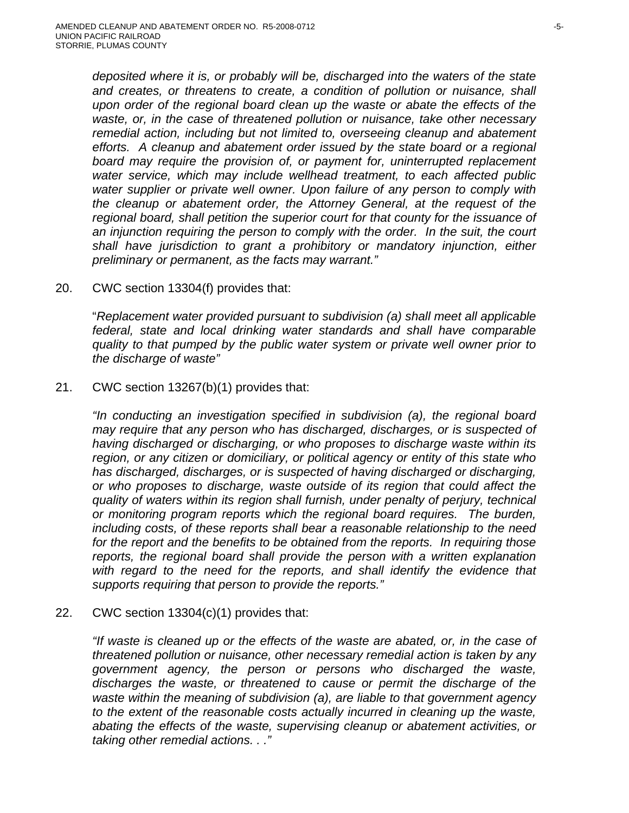*deposited where it is, or probably will be, discharged into the waters of the state and creates, or threatens to create, a condition of pollution or nuisance, shall upon order of the regional board clean up the waste or abate the effects of the waste, or, in the case of threatened pollution or nuisance, take other necessary remedial action, including but not limited to, overseeing cleanup and abatement efforts. A cleanup and abatement order issued by the state board or a regional board may require the provision of, or payment for, uninterrupted replacement water service, which may include wellhead treatment, to each affected public water supplier or private well owner. Upon failure of any person to comply with the cleanup or abatement order, the Attorney General, at the request of the regional board, shall petition the superior court for that county for the issuance of*  an injunction requiring the person to comply with the order. In the suit, the court *shall have jurisdiction to grant a prohibitory or mandatory injunction, either preliminary or permanent, as the facts may warrant."* 

20. CWC section 13304(f) provides that:

"*Replacement water provided pursuant to subdivision (a) shall meet all applicable federal, state and local drinking water standards and shall have comparable quality to that pumped by the public water system or private well owner prior to the discharge of waste"*

#### 21. CWC section 13267(b)(1) provides that:

*"In conducting an investigation specified in subdivision (a), the regional board may require that any person who has discharged, discharges, or is suspected of having discharged or discharging, or who proposes to discharge waste within its region, or any citizen or domiciliary, or political agency or entity of this state who has discharged, discharges, or is suspected of having discharged or discharging, or who proposes to discharge, waste outside of its region that could affect the quality of waters within its region shall furnish, under penalty of perjury, technical or monitoring program reports which the regional board requires. The burden, including costs, of these reports shall bear a reasonable relationship to the need for the report and the benefits to be obtained from the reports. In requiring those reports, the regional board shall provide the person with a written explanation*  with regard to the need for the reports, and shall identify the evidence that *supports requiring that person to provide the reports."* 

#### 22. CWC section 13304(c)(1) provides that:

*"If waste is cleaned up or the effects of the waste are abated, or, in the case of threatened pollution or nuisance, other necessary remedial action is taken by any government agency, the person or persons who discharged the waste, discharges the waste, or threatened to cause or permit the discharge of the waste within the meaning of subdivision (a), are liable to that government agency to the extent of the reasonable costs actually incurred in cleaning up the waste, abating the effects of the waste, supervising cleanup or abatement activities, or taking other remedial actions. . ."*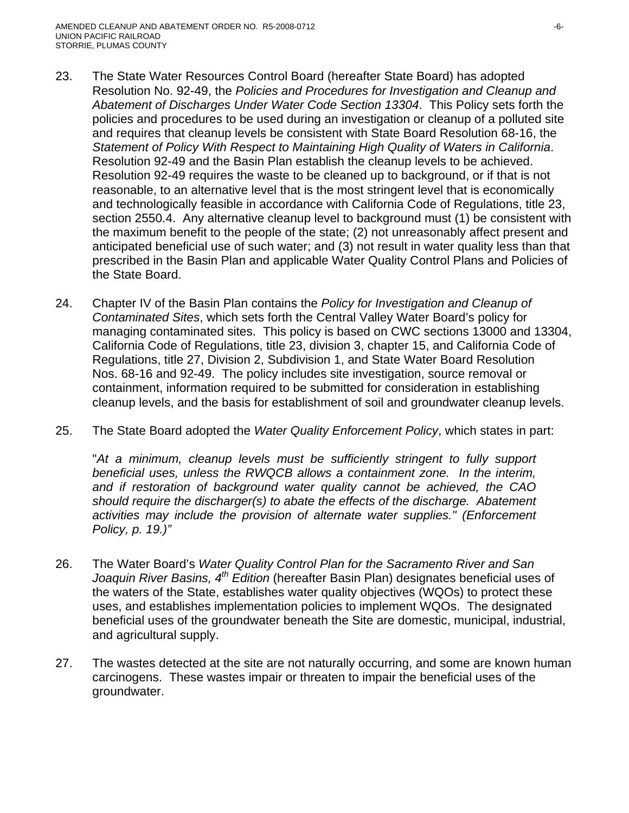- 23. The State Water Resources Control Board (hereafter State Board) has adopted Resolution No. 92-49, the *Policies and Procedures for Investigation and Cleanup and Abatement of Discharges Under Water Code Section 13304*. This Policy sets forth the policies and procedures to be used during an investigation or cleanup of a polluted site and requires that cleanup levels be consistent with State Board Resolution 68-16, the *Statement of Policy With Respect to Maintaining High Quality of Waters in California*. Resolution 92-49 and the Basin Plan establish the cleanup levels to be achieved. Resolution 92-49 requires the waste to be cleaned up to background, or if that is not reasonable, to an alternative level that is the most stringent level that is economically and technologically feasible in accordance with California Code of Regulations, title 23, section 2550.4. Any alternative cleanup level to background must (1) be consistent with the maximum benefit to the people of the state; (2) not unreasonably affect present and anticipated beneficial use of such water; and (3) not result in water quality less than that prescribed in the Basin Plan and applicable Water Quality Control Plans and Policies of the State Board.
- 24. Chapter IV of the Basin Plan contains the *Policy for Investigation and Cleanup of Contaminated Sites*, which sets forth the Central Valley Water Board's policy for managing contaminated sites. This policy is based on CWC sections 13000 and 13304, California Code of Regulations, title 23, division 3, chapter 15, and California Code of Regulations, title 27, Division 2, Subdivision 1, and State Water Board Resolution Nos. 68-16 and 92-49. The policy includes site investigation, source removal or containment, information required to be submitted for consideration in establishing cleanup levels, and the basis for establishment of soil and groundwater cleanup levels.
- 25. The State Board adopted the *Water Quality Enforcement Policy*, which states in part:

"*At a minimum, cleanup levels must be sufficiently stringent to fully support beneficial uses, unless the RWQCB allows a containment zone. In the interim, and if restoration of background water quality cannot be achieved, the CAO should require the discharger(s) to abate the effects of the discharge. Abatement activities may include the provision of alternate water supplies." (Enforcement Policy, p. 19.)"*

- 26. The Water Board's *Water Quality Control Plan for the Sacramento River and San Joaquin River Basins, 4th Edition* (hereafter Basin Plan) designates beneficial uses of the waters of the State, establishes water quality objectives (WQOs) to protect these uses, and establishes implementation policies to implement WQOs. The designated beneficial uses of the groundwater beneath the Site are domestic, municipal, industrial, and agricultural supply.
- 27. The wastes detected at the site are not naturally occurring, and some are known human carcinogens. These wastes impair or threaten to impair the beneficial uses of the groundwater.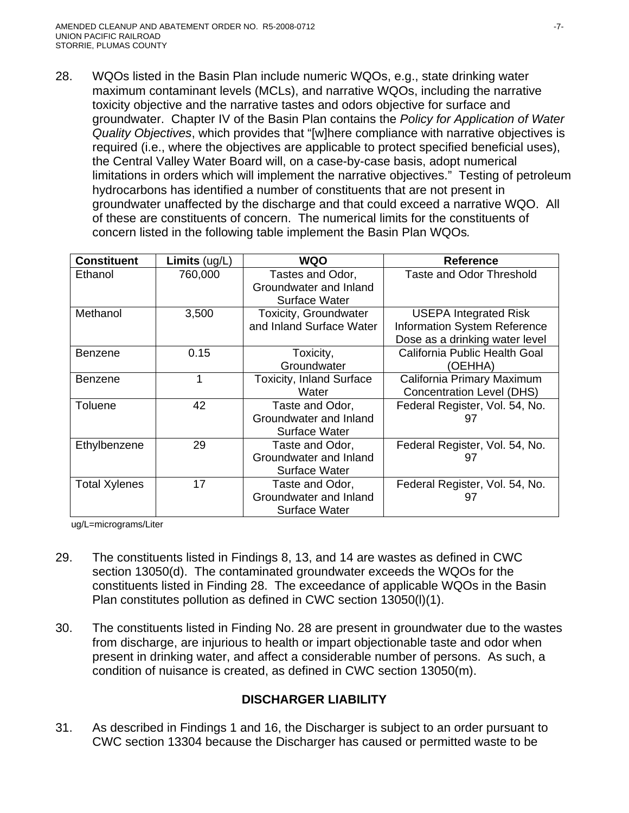28. WQOs listed in the Basin Plan include numeric WQOs, e.g., state drinking water maximum contaminant levels (MCLs), and narrative WQOs, including the narrative toxicity objective and the narrative tastes and odors objective for surface and groundwater. Chapter IV of the Basin Plan contains the *Policy for Application of Water Quality Objectives*, which provides that "[w]here compliance with narrative objectives is required (i.e., where the objectives are applicable to protect specified beneficial uses), the Central Valley Water Board will, on a case-by-case basis, adopt numerical limitations in orders which will implement the narrative objectives." Testing of petroleum hydrocarbons has identified a number of constituents that are not present in groundwater unaffected by the discharge and that could exceed a narrative WQO. All of these are constituents of concern. The numerical limits for the constituents of concern listed in the following table implement the Basin Plan WQOs*.*

| <b>Constituent</b>   | <b>Limits</b> $(ug/L)$ | <b>WQO</b>                                                        | <b>Reference</b>                                                                               |
|----------------------|------------------------|-------------------------------------------------------------------|------------------------------------------------------------------------------------------------|
| Ethanol              | 760,000                | Tastes and Odor,<br>Groundwater and Inland<br>Surface Water       | <b>Taste and Odor Threshold</b>                                                                |
| Methanol             | 3,500                  | Toxicity, Groundwater<br>and Inland Surface Water                 | <b>USEPA Integrated Risk</b><br>Information System Reference<br>Dose as a drinking water level |
| Benzene              | 0.15                   | Toxicity,<br>Groundwater                                          | California Public Health Goal<br>(OEHHA)                                                       |
| <b>Benzene</b>       |                        | <b>Toxicity, Inland Surface</b><br>Water                          | California Primary Maximum<br><b>Concentration Level (DHS)</b>                                 |
| Toluene              | 42                     | Taste and Odor,<br>Groundwater and Inland<br><b>Surface Water</b> | Federal Register, Vol. 54, No.<br>97                                                           |
| Ethylbenzene         | 29                     | Taste and Odor,<br>Groundwater and Inland<br>Surface Water        | Federal Register, Vol. 54, No.<br>97                                                           |
| <b>Total Xylenes</b> | 17                     | Taste and Odor,<br>Groundwater and Inland<br><b>Surface Water</b> | Federal Register, Vol. 54, No.<br>97                                                           |

ug/L=micrograms/Liter

- 29. The constituents listed in Findings 8, 13, and 14 are wastes as defined in CWC section 13050(d). The contaminated groundwater exceeds the WQOs for the constituents listed in Finding 28. The exceedance of applicable WQOs in the Basin Plan constitutes pollution as defined in CWC section 13050(l)(1).
- 30. The constituents listed in Finding No. 28 are present in groundwater due to the wastes from discharge, are injurious to health or impart objectionable taste and odor when present in drinking water, and affect a considerable number of persons. As such, a condition of nuisance is created, as defined in CWC section 13050(m).

## **DISCHARGER LIABILITY**

31. As described in Findings 1 and 16, the Discharger is subject to an order pursuant to CWC section 13304 because the Discharger has caused or permitted waste to be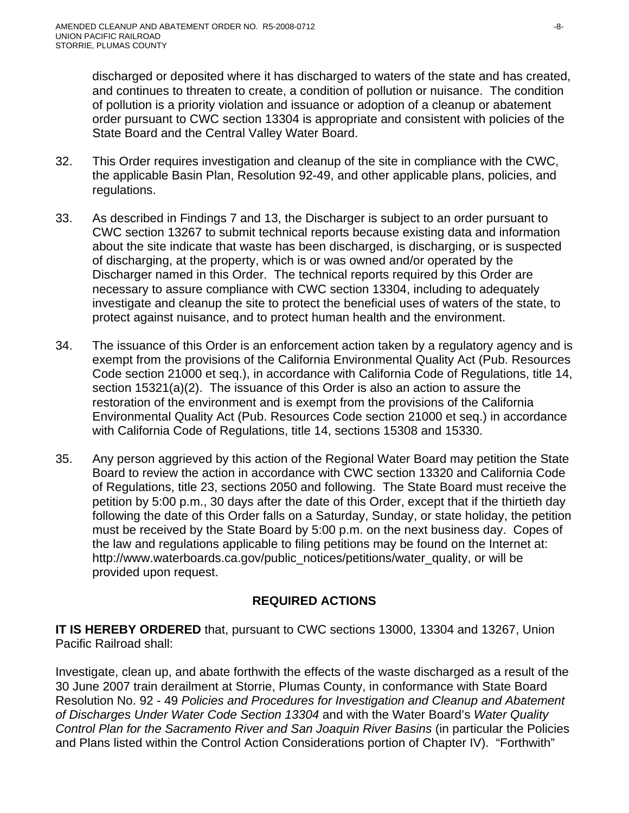discharged or deposited where it has discharged to waters of the state and has created, and continues to threaten to create, a condition of pollution or nuisance. The condition of pollution is a priority violation and issuance or adoption of a cleanup or abatement order pursuant to CWC section 13304 is appropriate and consistent with policies of the State Board and the Central Valley Water Board.

- 32. This Order requires investigation and cleanup of the site in compliance with the CWC, the applicable Basin Plan, Resolution 92-49, and other applicable plans, policies, and regulations.
- 33. As described in Findings 7 and 13, the Discharger is subject to an order pursuant to CWC section 13267 to submit technical reports because existing data and information about the site indicate that waste has been discharged, is discharging, or is suspected of discharging, at the property, which is or was owned and/or operated by the Discharger named in this Order. The technical reports required by this Order are necessary to assure compliance with CWC section 13304, including to adequately investigate and cleanup the site to protect the beneficial uses of waters of the state, to protect against nuisance, and to protect human health and the environment.
- 34. The issuance of this Order is an enforcement action taken by a regulatory agency and is exempt from the provisions of the California Environmental Quality Act (Pub. Resources Code section 21000 et seq.), in accordance with California Code of Regulations, title 14, section 15321(a)(2). The issuance of this Order is also an action to assure the restoration of the environment and is exempt from the provisions of the California Environmental Quality Act (Pub. Resources Code section 21000 et seq.) in accordance with California Code of Regulations, title 14, sections 15308 and 15330.
- 35. Any person aggrieved by this action of the Regional Water Board may petition the State Board to review the action in accordance with CWC section 13320 and California Code of Regulations, title 23, sections 2050 and following. The State Board must receive the petition by 5:00 p.m., 30 days after the date of this Order, except that if the thirtieth day following the date of this Order falls on a Saturday, Sunday, or state holiday, the petition must be received by the State Board by 5:00 p.m. on the next business day. Copes of the law and regulations applicable to filing petitions may be found on the Internet at: http://www.waterboards.ca.gov/public\_notices/petitions/water\_quality, or will be provided upon request.

## **REQUIRED ACTIONS**

**IT IS HEREBY ORDERED** that, pursuant to CWC sections 13000, 13304 and 13267, Union Pacific Railroad shall:

Investigate, clean up, and abate forthwith the effects of the waste discharged as a result of the 30 June 2007 train derailment at Storrie, Plumas County, in conformance with State Board Resolution No. 92 - 49 *Policies and Procedures for Investigation and Cleanup and Abatement of Discharges Under Water Code Section 13304* and with the Water Board's *Water Quality Control Plan for the Sacramento River and San Joaquin River Basins* (in particular the Policies and Plans listed within the Control Action Considerations portion of Chapter IV). "Forthwith"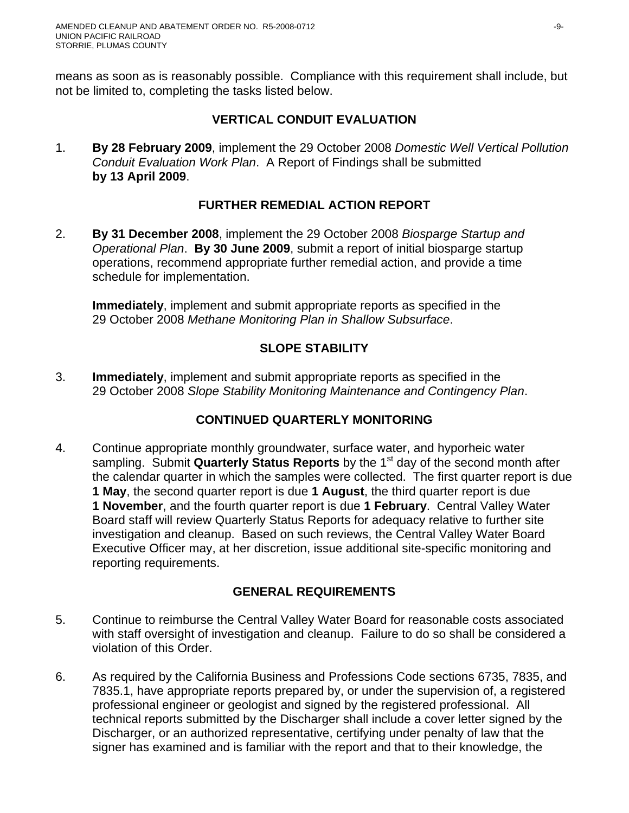means as soon as is reasonably possible. Compliance with this requirement shall include, but not be limited to, completing the tasks listed below.

#### **VERTICAL CONDUIT EVALUATION**

1. **By 28 February 2009**, implement the 29 October 2008 *Domestic Well Vertical Pollution Conduit Evaluation Work Plan*. A Report of Findings shall be submitted **by 13 April 2009**.

## **FURTHER REMEDIAL ACTION REPORT**

2. **By 31 December 2008**, implement the 29 October 2008 *Biosparge Startup and Operational Plan*. **By 30 June 2009**, submit a report of initial biosparge startup operations, recommend appropriate further remedial action, and provide a time schedule for implementation.

**Immediately**, implement and submit appropriate reports as specified in the 29 October 2008 *Methane Monitoring Plan in Shallow Subsurface*.

## **SLOPE STABILITY**

3. **Immediately**, implement and submit appropriate reports as specified in the 29 October 2008 *Slope Stability Monitoring Maintenance and Contingency Plan*.

## **CONTINUED QUARTERLY MONITORING**

4. Continue appropriate monthly groundwater, surface water, and hyporheic water sampling. Submit **Quarterly Status Reports** by the 1<sup>st</sup> day of the second month after the calendar quarter in which the samples were collected. The first quarter report is due **1 May**, the second quarter report is due **1 August**, the third quarter report is due **1 November**, and the fourth quarter report is due **1 February**. Central Valley Water Board staff will review Quarterly Status Reports for adequacy relative to further site investigation and cleanup. Based on such reviews, the Central Valley Water Board Executive Officer may, at her discretion, issue additional site-specific monitoring and reporting requirements.

## **GENERAL REQUIREMENTS**

- 5. Continue to reimburse the Central Valley Water Board for reasonable costs associated with staff oversight of investigation and cleanup. Failure to do so shall be considered a violation of this Order.
- 6. As required by the California Business and Professions Code sections 6735, 7835, and 7835.1, have appropriate reports prepared by, or under the supervision of, a registered professional engineer or geologist and signed by the registered professional. All technical reports submitted by the Discharger shall include a cover letter signed by the Discharger, or an authorized representative, certifying under penalty of law that the signer has examined and is familiar with the report and that to their knowledge, the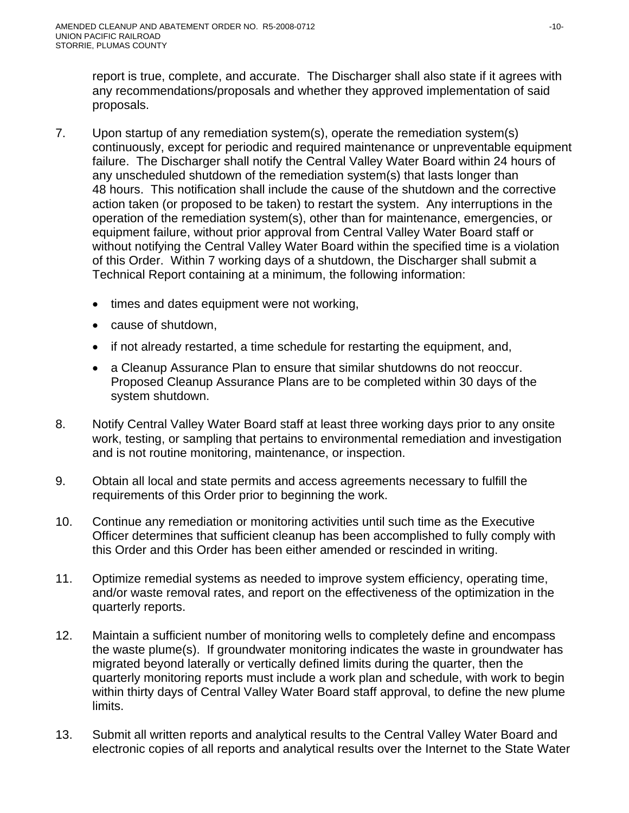report is true, complete, and accurate. The Discharger shall also state if it agrees with any recommendations/proposals and whether they approved implementation of said proposals.

- 7. Upon startup of any remediation system(s), operate the remediation system(s) continuously, except for periodic and required maintenance or unpreventable equipment failure. The Discharger shall notify the Central Valley Water Board within 24 hours of any unscheduled shutdown of the remediation system(s) that lasts longer than 48 hours. This notification shall include the cause of the shutdown and the corrective action taken (or proposed to be taken) to restart the system. Any interruptions in the operation of the remediation system(s), other than for maintenance, emergencies, or equipment failure, without prior approval from Central Valley Water Board staff or without notifying the Central Valley Water Board within the specified time is a violation of this Order. Within 7 working days of a shutdown, the Discharger shall submit a Technical Report containing at a minimum, the following information:
	- times and dates equipment were not working,
	- cause of shutdown,
	- if not already restarted, a time schedule for restarting the equipment, and,
	- a Cleanup Assurance Plan to ensure that similar shutdowns do not reoccur. Proposed Cleanup Assurance Plans are to be completed within 30 days of the system shutdown.
- 8. Notify Central Valley Water Board staff at least three working days prior to any onsite work, testing, or sampling that pertains to environmental remediation and investigation and is not routine monitoring, maintenance, or inspection.
- 9. Obtain all local and state permits and access agreements necessary to fulfill the requirements of this Order prior to beginning the work.
- 10. Continue any remediation or monitoring activities until such time as the Executive Officer determines that sufficient cleanup has been accomplished to fully comply with this Order and this Order has been either amended or rescinded in writing.
- 11. Optimize remedial systems as needed to improve system efficiency, operating time, and/or waste removal rates, and report on the effectiveness of the optimization in the quarterly reports.
- 12. Maintain a sufficient number of monitoring wells to completely define and encompass the waste plume(s). If groundwater monitoring indicates the waste in groundwater has migrated beyond laterally or vertically defined limits during the quarter, then the quarterly monitoring reports must include a work plan and schedule, with work to begin within thirty days of Central Valley Water Board staff approval, to define the new plume limits.
- 13. Submit all written reports and analytical results to the Central Valley Water Board and electronic copies of all reports and analytical results over the Internet to the State Water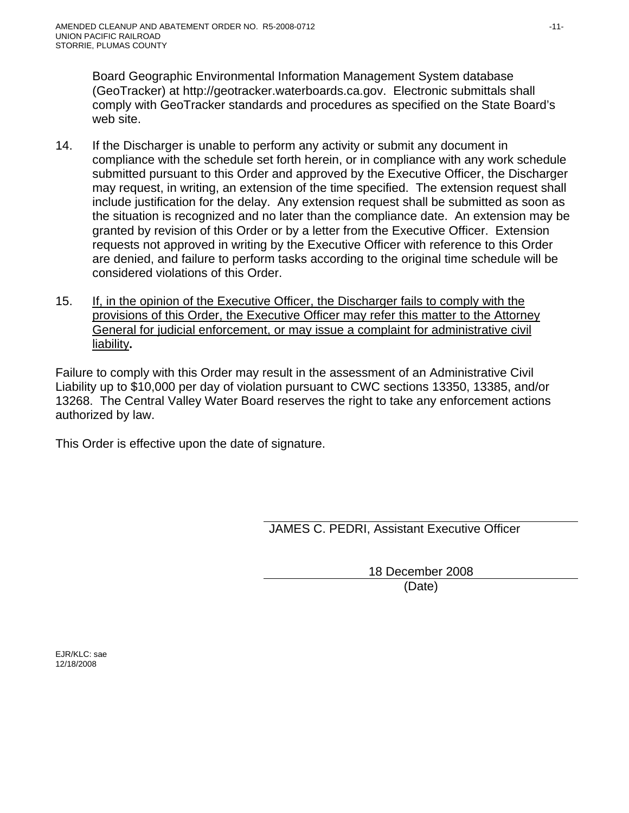Board Geographic Environmental Information Management System database (GeoTracker) at http://geotracker.waterboards.ca.gov. Electronic submittals shall comply with GeoTracker standards and procedures as specified on the State Board's web site.

- 14. If the Discharger is unable to perform any activity or submit any document in compliance with the schedule set forth herein, or in compliance with any work schedule submitted pursuant to this Order and approved by the Executive Officer, the Discharger may request, in writing, an extension of the time specified. The extension request shall include justification for the delay. Any extension request shall be submitted as soon as the situation is recognized and no later than the compliance date. An extension may be granted by revision of this Order or by a letter from the Executive Officer. Extension requests not approved in writing by the Executive Officer with reference to this Order are denied, and failure to perform tasks according to the original time schedule will be considered violations of this Order.
- 15. If, in the opinion of the Executive Officer, the Discharger fails to comply with the provisions of this Order, the Executive Officer may refer this matter to the Attorney General for judicial enforcement, or may issue a complaint for administrative civil liability**.**

Failure to comply with this Order may result in the assessment of an Administrative Civil Liability up to \$10,000 per day of violation pursuant to CWC sections 13350, 13385, and/or 13268. The Central Valley Water Board reserves the right to take any enforcement actions authorized by law.

This Order is effective upon the date of signature.

JAMES C. PEDRI, Assistant Executive Officer

18 December 2008 (Date)

EJR/KLC: sae 12/18/2008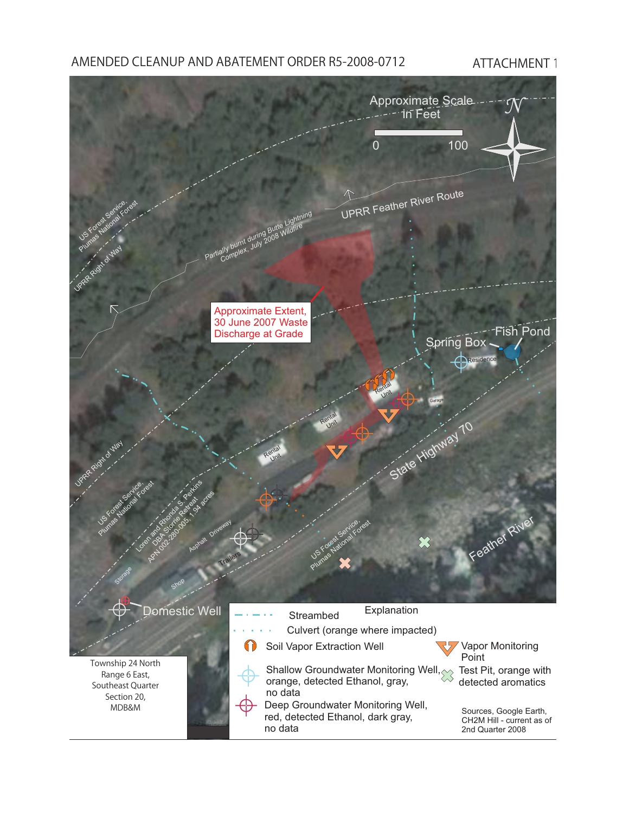## AMENDED CLEANUP AND ABATEMENT ORDER R5-2008-0712 ATTACHMENT 1

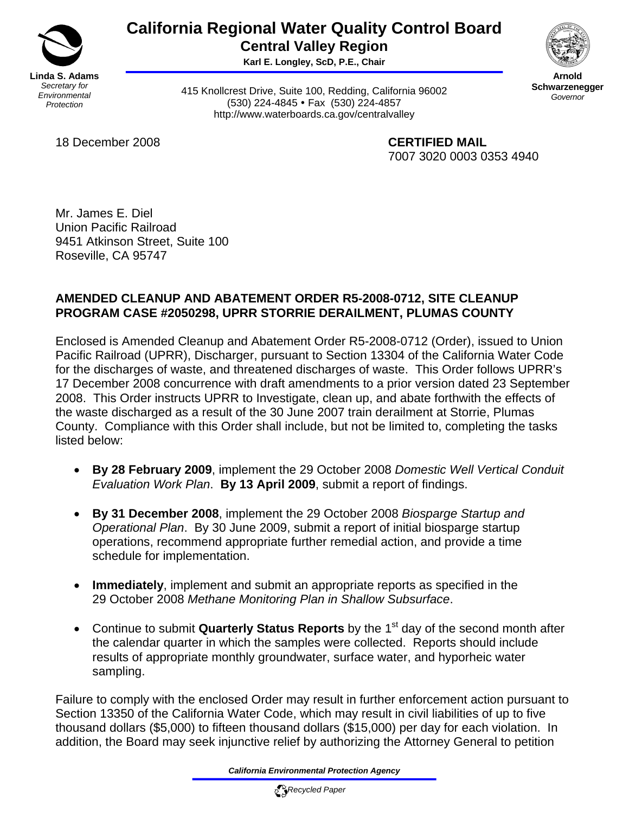

# **California Regional Water Quality Control Board Central Valley Region**

**Karl E. Longley, ScD, P.E., Chair** 



**Arnold Schwarzenegger** *Governor* 

415 Knollcrest Drive, Suite 100, Redding, California 96002 (530) 224-4845 • Fax (530) 224-4857 http://www.waterboards.ca.gov/centralvalley

18 December 2008 **CERTIFIED MAIL**

7007 3020 0003 0353 4940

Mr. James E. Diel Union Pacific Railroad 9451 Atkinson Street, Suite 100 Roseville, CA 95747

## **AMENDED CLEANUP AND ABATEMENT ORDER R5-2008-0712, SITE CLEANUP PROGRAM CASE #2050298, UPRR STORRIE DERAILMENT, PLUMAS COUNTY**

Enclosed is Amended Cleanup and Abatement Order R5-2008-0712 (Order), issued to Union Pacific Railroad (UPRR), Discharger, pursuant to Section 13304 of the California Water Code for the discharges of waste, and threatened discharges of waste. This Order follows UPRR's 17 December 2008 concurrence with draft amendments to a prior version dated 23 September 2008. This Order instructs UPRR to Investigate, clean up, and abate forthwith the effects of the waste discharged as a result of the 30 June 2007 train derailment at Storrie, Plumas County. Compliance with this Order shall include, but not be limited to, completing the tasks listed below:

- **By 28 February 2009**, implement the 29 October 2008 *Domestic Well Vertical Conduit Evaluation Work Plan*. **By 13 April 2009**, submit a report of findings.
- **By 31 December 2008**, implement the 29 October 2008 *Biosparge Startup and Operational Plan*. By 30 June 2009, submit a report of initial biosparge startup operations, recommend appropriate further remedial action, and provide a time schedule for implementation.
- **Immediately**, implement and submit an appropriate reports as specified in the 29 October 2008 *Methane Monitoring Plan in Shallow Subsurface*.
- Continue to submit **Quarterly Status Reports** by the 1<sup>st</sup> day of the second month after the calendar quarter in which the samples were collected. Reports should include results of appropriate monthly groundwater, surface water, and hyporheic water sampling.

Failure to comply with the enclosed Order may result in further enforcement action pursuant to Section 13350 of the California Water Code, which may result in civil liabilities of up to five thousand dollars (\$5,000) to fifteen thousand dollars (\$15,000) per day for each violation. In addition, the Board may seek injunctive relief by authorizing the Attorney General to petition

*California Environmental Protection Agency*